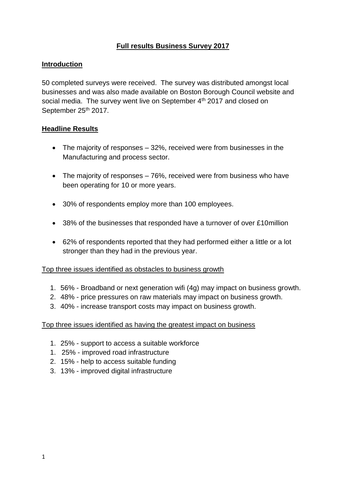## **Full results Business Survey 2017**

#### **Introduction**

50 completed surveys were received. The survey was distributed amongst local businesses and was also made available on Boston Borough Council website and social media. The survey went live on September 4<sup>th</sup> 2017 and closed on September 25<sup>th</sup> 2017.

#### **Headline Results**

- The majority of responses 32%, received were from businesses in the Manufacturing and process sector.
- The majority of responses 76%, received were from business who have been operating for 10 or more years.
- 30% of respondents employ more than 100 employees.
- 38% of the businesses that responded have a turnover of over £10 million
- 62% of respondents reported that they had performed either a little or a lot stronger than they had in the previous year.

#### Top three issues identified as obstacles to business growth

- 1. 56% Broadband or next generation wifi (4g) may impact on business growth.
- 2. 48% price pressures on raw materials may impact on business growth.
- 3. 40% increase transport costs may impact on business growth.

#### Top three issues identified as having the greatest impact on business

- 1. 25% support to access a suitable workforce
- 1. 25% improved road infrastructure
- 2. 15% help to access suitable funding
- 3. 13% improved digital infrastructure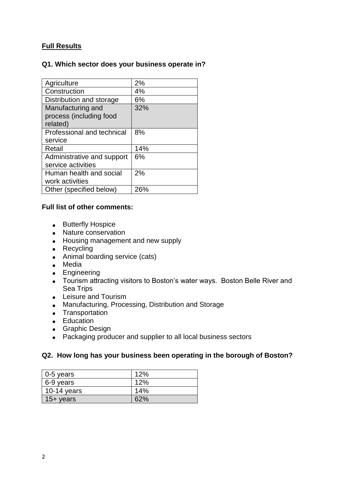# **Full Results**

## **Q1. Which sector does your business operate in?**

| Agriculture                | 2%  |
|----------------------------|-----|
| Construction               | 4%  |
| Distribution and storage   | 6%  |
| Manufacturing and          | 32% |
| process (including food    |     |
| related)                   |     |
| Professional and technical | 8%  |
| service                    |     |
| Retail                     | 14% |
| Administrative and support | 6%  |
| service activities         |     |
| Human health and social    | 2%  |
| work activities            |     |
| Other (specified below)    | 26% |

#### **Full list of other comments:**

- Butterfly Hospice
- Nature conservation
- Housing management and new supply
- Recycling
- Animal boarding service (cats)
- Media
- Engineering
- Tourism attracting visitors to Boston's water ways. Boston Belle River and Sea Trips
- Leisure and Tourism
- Manufacturing, Processing, Distribution and Storage
- Transportation
- Education
- **•** Graphic Design
- Packaging producer and supplier to all local business sectors

#### **Q2. How long has your business been operating in the borough of Boston?**

| $0-5$ years  | 12% |
|--------------|-----|
| 6-9 years    | 12% |
| 10-14 years  | 14% |
| $15 +$ years | 62% |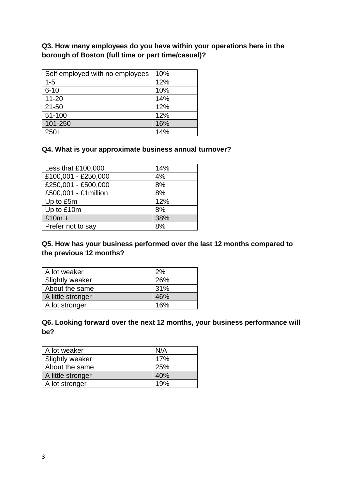**Q3. How many employees do you have within your operations here in the borough of Boston (full time or part time/casual)?**

| Self employed with no employees | 10% |
|---------------------------------|-----|
| $1 - 5$                         | 12% |
| $6 - 10$                        | 10% |
| $11 - 20$                       | 14% |
| $21 - 50$                       | 12% |
| 51-100                          | 12% |
| 101-250                         | 16% |
| $250+$                          | 14% |

## **Q4. What is your approximate business annual turnover?**

| Less that £100,000    | 14% |
|-----------------------|-----|
| £100,001 - £250,000   | 4%  |
| £250,001 - £500,000   | 8%  |
| £500,001 - £1 million | 8%  |
| Up to £5m             | 12% |
| Up to £10m            | 8%  |
| $£10m +$              | 38% |
| Prefer not to say     | 8%  |

## **Q5. How has your business performed over the last 12 months compared to the previous 12 months?**

| A lot weaker      | 2%  |
|-------------------|-----|
| Slightly weaker   | 26% |
| About the same    | 31% |
| A little stronger | 46% |
| A lot stronger    | 16% |

# **Q6. Looking forward over the next 12 months, your business performance will be?**

| A lot weaker      | N/A |
|-------------------|-----|
| Slightly weaker   | 17% |
| About the same    | 25% |
| A little stronger | 40% |
| A lot stronger    | 19% |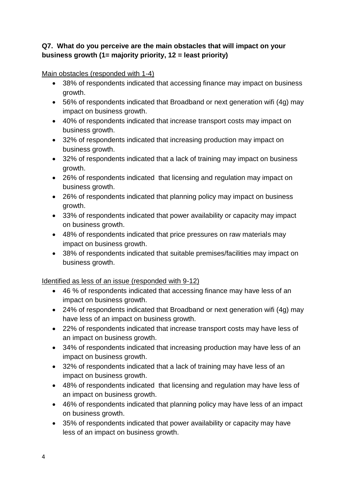## **Q7. What do you perceive are the main obstacles that will impact on your business growth (1= majority priority, 12 = least priority)**

Main obstacles (responded with 1-4)

- 38% of respondents indicated that accessing finance may impact on business growth.
- 56% of respondents indicated that Broadband or next generation wifi (4g) may impact on business growth.
- 40% of respondents indicated that increase transport costs may impact on business growth.
- 32% of respondents indicated that increasing production may impact on business growth.
- 32% of respondents indicated that a lack of training may impact on business growth.
- 26% of respondents indicated that licensing and regulation may impact on business growth.
- 26% of respondents indicated that planning policy may impact on business growth.
- 33% of respondents indicated that power availability or capacity may impact on business growth.
- 48% of respondents indicated that price pressures on raw materials may impact on business growth.
- 38% of respondents indicated that suitable premises/facilities may impact on business growth.

## Identified as less of an issue (responded with 9-12)

- 46 % of respondents indicated that accessing finance may have less of an impact on business growth.
- 24% of respondents indicated that Broadband or next generation wifi (4g) may have less of an impact on business growth.
- 22% of respondents indicated that increase transport costs may have less of an impact on business growth.
- 34% of respondents indicated that increasing production may have less of an impact on business growth.
- 32% of respondents indicated that a lack of training may have less of an impact on business growth.
- 48% of respondents indicated that licensing and regulation may have less of an impact on business growth.
- 46% of respondents indicated that planning policy may have less of an impact on business growth.
- 35% of respondents indicated that power availability or capacity may have less of an impact on business growth.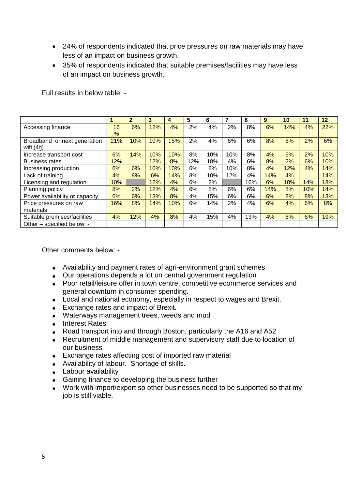- 24% of respondents indicated that price pressures on raw materials may have less of an impact on business growth.
- 35% of respondents indicated that suitable premises/facilities may have less of an impact on business growth.

Full results in below table: -

|                                |               | $\mathbf{2}$ | 3   | 4   | 5   | 6   | 7   | 8   | 9   | 10  | 11  | 12  |
|--------------------------------|---------------|--------------|-----|-----|-----|-----|-----|-----|-----|-----|-----|-----|
| Accessing finance              | 16            | 6%           | 12% | 4%  | 2%  | 4%  | 2%  | 8%  | 6%  | 14% | 4%  | 22% |
|                                | $\frac{9}{6}$ |              |     |     |     |     |     |     |     |     |     |     |
| Broadband or next generation   | 21%           | 10%          | 10% | 15% | 2%  | 4%  | 6%  | 6%  | 8%  | 8%  | 2%  | 6%  |
| wifi $(4g)$                    |               |              |     |     |     |     |     |     |     |     |     |     |
| Increase transport cost        | 6%            | 14%          | 10% | 10% | 8%  | 10% | 10% | 8%  | 4%  | 6%  | 2%  | 10% |
| <b>Business rates</b>          | 12%           |              | 12% | 8%  | 12% | 18% | 4%  | 6%  | 8%  | 2%  | 6%  | 10% |
| Increasing production          | 6%            | 6%           | 10% | 10% | 6%  | 8%  | 10% | 8%  | 4%  | 12% | 4%  | 14% |
| Lack of training               | 4%            | 8%           | 6%  | 14% | 8%  | 10% | 12% | 4%  | 14% | 4%  |     | 14% |
| Licensing and regulation       | 10%           |              | 12% | 4%  | 6%  | 2%  |     | 16% | 6%  | 10% | 14% | 18% |
| Planning policy                | 8%            | 2%           | 12% | 4%  | 6%  | 8%  | 6%  | 6%  | 14% | 8%  | 10% | 14% |
| Power availability or capacity | 6%            | 6%           | 13% | 8%  | 4%  | 15% | 6%  | 6%  | 6%  | 8%  | 8%  | 13% |
| Price pressures on raw         | 16%           | 8%           | 14% | 10% | 6%  | 14% | 2%  | 4%  | 6%  | 4%  | 6%  | 8%  |
| materials                      |               |              |     |     |     |     |     |     |     |     |     |     |
| Suitable premises/facilities   | 4%            | 12%          | 4%  | 8%  | 4%  | 15% | 4%  | 13% | 4%  | 6%  | 6%  | 19% |
| Other - specified below: -     |               |              |     |     |     |     |     |     |     |     |     |     |

Other comments below: -

- Availability and payment rates of agri-environment grant schemes
- Our operations depends a lot on central government regulation
- Poor retail/leisure offer in town centre, competitive ecommerce services and general downturn in consumer spending.
- Local and national economy, especially in respect to wages and Brexit.
- Exchange rates and impact of Brexit.
- Waterways management trees, weeds and mud
- Interest Rates
- Road transport into and through Boston, particularly the A16 and A52
- Recruitment of middle management and supervisory staff due to location of our business
- Exchange rates affecting cost of imported raw material
- Availability of labour. Shortage of skills.
- Labour availability
- Gaining finance to developing the business further
- Work with import/export so other businesses need to be supported so that my job is still viable.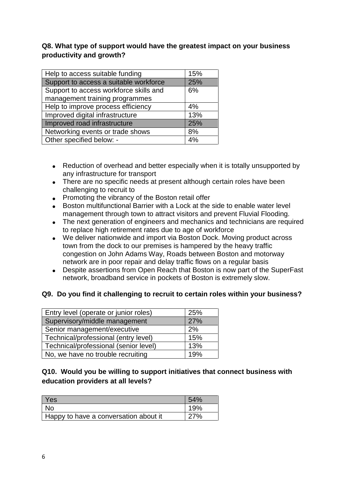## **Q8. What type of support would have the greatest impact on your business productivity and growth?**

| Help to access suitable funding        | 15% |
|----------------------------------------|-----|
| Support to access a suitable workforce | 25% |
| Support to access workforce skills and | 6%  |
| management training programmes         |     |
| Help to improve process efficiency     | 4%  |
| Improved digital infrastructure        | 13% |
| Improved road infrastructure           | 25% |
| Networking events or trade shows       | 8%  |
| Other specified below: -               | 4%  |

- Reduction of overhead and better especially when it is totally unsupported by any infrastructure for transport
- There are no specific needs at present although certain roles have been challenging to recruit to
- Promoting the vibrancy of the Boston retail offer
- Boston multifunctional Barrier with a Lock at the side to enable water level management through town to attract visitors and prevent Fluvial Flooding.
- The next generation of engineers and mechanics and technicians are required to replace high retirement rates due to age of workforce
- We deliver nationwide and import via Boston Dock. Moving product across town from the dock to our premises is hampered by the heavy traffic congestion on John Adams Way, Roads between Boston and motorway network are in poor repair and delay traffic flows on a regular basis
- Despite assertions from Open Reach that Boston is now part of the SuperFast network, broadband service in pockets of Boston is extremely slow.

## **Q9. Do you find it challenging to recruit to certain roles within your business?**

| Entry level (operate or junior roles) | 25% |
|---------------------------------------|-----|
| Supervisory/middle management         | 27% |
| Senior management/executive           | 2%  |
| Technical/professional (entry level)  | 15% |
| Technical/professional (senior level) | 13% |
| No, we have no trouble recruiting     | 19% |

# **Q10. Would you be willing to support initiatives that connect business with education providers at all levels?**

| Yes                                   | 54% |
|---------------------------------------|-----|
| No                                    | 19% |
| Happy to have a conversation about it | 70/ |